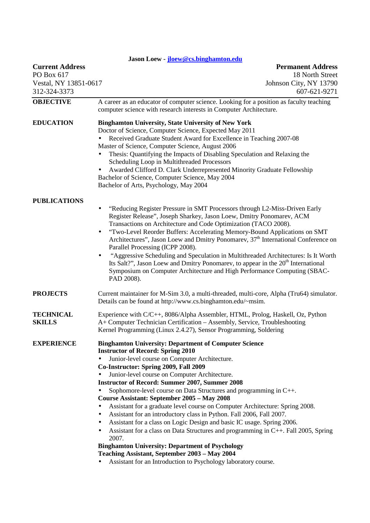| Jason Loew jloew@cs.binghamton.edu                                            |                                                                                                                                                                                                                                                                                                                                                                                                                                                                                                                                                                                                                                                                                                                                                                                                                                                                                                                                                               |  |
|-------------------------------------------------------------------------------|---------------------------------------------------------------------------------------------------------------------------------------------------------------------------------------------------------------------------------------------------------------------------------------------------------------------------------------------------------------------------------------------------------------------------------------------------------------------------------------------------------------------------------------------------------------------------------------------------------------------------------------------------------------------------------------------------------------------------------------------------------------------------------------------------------------------------------------------------------------------------------------------------------------------------------------------------------------|--|
| <b>Current Address</b><br>PO Box 617<br>Vestal, NY 13851-0617<br>312-324-3373 | <b>Permanent Address</b><br>18 North Street<br>Johnson City, NY 13790<br>607-621-9271                                                                                                                                                                                                                                                                                                                                                                                                                                                                                                                                                                                                                                                                                                                                                                                                                                                                         |  |
| <b>OBJECTIVE</b>                                                              | A career as an educator of computer science. Looking for a position as faculty teaching<br>computer science with research interests in Computer Architecture.                                                                                                                                                                                                                                                                                                                                                                                                                                                                                                                                                                                                                                                                                                                                                                                                 |  |
| <b>EDUCATION</b>                                                              | <b>Binghamton University, State University of New York</b><br>Doctor of Science, Computer Science, Expected May 2011<br>Received Graduate Student Award for Excellence in Teaching 2007-08<br>Master of Science, Computer Science, August 2006<br>Thesis: Quantifying the Impacts of Disabling Speculation and Relaxing the<br>$\bullet$<br>Scheduling Loop in Multithreaded Processors<br>Awarded Clifford D. Clark Underrepresented Minority Graduate Fellowship<br>Bachelor of Science, Computer Science, May 2004<br>Bachelor of Arts, Psychology, May 2004                                                                                                                                                                                                                                                                                                                                                                                               |  |
| <b>PUBLICATIONS</b>                                                           | "Reducing Register Pressure in SMT Processors through L2-Miss-Driven Early<br>$\bullet$<br>Register Release", Joseph Sharkey, Jason Loew, Dmitry Ponomarev, ACM<br>Transactions on Architecture and Code Optimization (TACO 2008).<br>"Two-Level Reorder Buffers: Accelerating Memory-Bound Applications on SMT<br>$\bullet$<br>Architectures", Jason Loew and Dmitry Ponomarev, 37 <sup>th</sup> International Conference on<br>Parallel Processing (ICPP 2008).<br>"Aggressive Scheduling and Speculation in Multithreaded Architectures: Is It Worth<br>$\bullet$<br>Its Salt?", Jason Loew and Dmitry Ponomarev, to appear in the $20th$ International<br>Symposium on Computer Architecture and High Performance Computing (SBAC-<br>PAD 2008).                                                                                                                                                                                                          |  |
| <b>PROJECTS</b>                                                               | Current maintainer for M-Sim 3.0, a multi-threaded, multi-core, Alpha (Tru64) simulator.<br>Details can be found at http://www.cs.binghamton.edu/~msim.                                                                                                                                                                                                                                                                                                                                                                                                                                                                                                                                                                                                                                                                                                                                                                                                       |  |
| <b>TECHNICAL</b><br><b>SKILLS</b>                                             | Experience with C/C++, 8086/Alpha Assembler, HTML, Prolog, Haskell, Oz, Python<br>A+ Computer Technician Certification - Assembly, Service, Troubleshooting<br>Kernel Programming (Linux 2.4.27), Sensor Programming, Soldering                                                                                                                                                                                                                                                                                                                                                                                                                                                                                                                                                                                                                                                                                                                               |  |
| <b>EXPERIENCE</b>                                                             | <b>Binghamton University: Department of Computer Science</b><br><b>Instructor of Record: Spring 2010</b><br>Junior-level course on Computer Architecture.<br>Co-Instructor: Spring 2009, Fall 2009<br>Junior-level course on Computer Architecture.<br><b>Instructor of Record: Summer 2007, Summer 2008</b><br>Sophomore-level course on Data Structures and programming in C++.<br>Course Assistant: September 2005 - May 2008<br>Assistant for a graduate level course on Computer Architecture: Spring 2008.<br>Assistant for an introductory class in Python. Fall 2006, Fall 2007.<br>٠<br>Assistant for a class on Logic Design and basic IC usage. Spring 2006.<br>٠<br>Assistant for a class on Data Structures and programming in C++. Fall 2005, Spring<br>٠<br>2007.<br><b>Binghamton University: Department of Psychology</b><br>Teaching Assistant, September 2003 - May 2004<br>Assistant for an Introduction to Psychology laboratory course. |  |